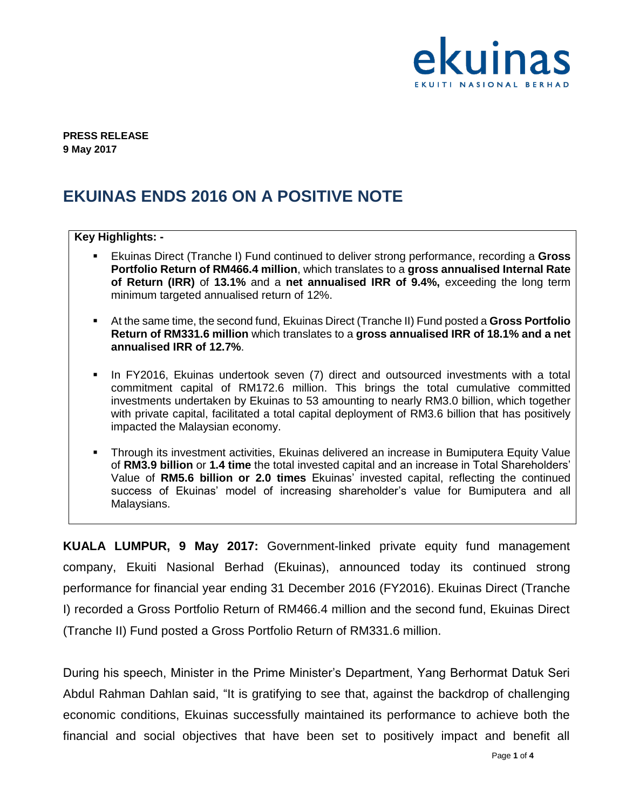

**PRESS RELEASE 9 May 2017**

## **EKUINAS ENDS 2016 ON A POSITIVE NOTE**

## **Key Highlights: -** Ekuinas Direct (Tranche I) Fund continued to deliver strong performance, recording a **Gross Portfolio Return of RM466.4 million**, which translates to a **gross annualised Internal Rate of Return (IRR)** of **13.1%** and a **net annualised IRR of 9.4%,** exceeding the long term minimum targeted annualised return of 12%. At the same time, the second fund, Ekuinas Direct (Tranche II) Fund posted a **Gross Portfolio Return of RM331.6 million** which translates to a **gross annualised IRR of 18.1% and a net annualised IRR of 12.7%**. **In FY2016, Ekuinas undertook seven (7) direct and outsourced investments with a total** commitment capital of RM172.6 million. This brings the total cumulative committed investments undertaken by Ekuinas to 53 amounting to nearly RM3.0 billion, which together with private capital, facilitated a total capital deployment of RM3.6 billion that has positively impacted the Malaysian economy. Through its investment activities, Ekuinas delivered an increase in Bumiputera Equity Value of **RM3.9 billion** or **1.4 time** the total invested capital and an increase in Total Shareholders' Value of **RM5.6 billion or 2.0 times** Ekuinas' invested capital, reflecting the continued success of Ekuinas' model of increasing shareholder's value for Bumiputera and all Malaysians.

**KUALA LUMPUR, 9 May 2017:** Government-linked private equity fund management company, Ekuiti Nasional Berhad (Ekuinas), announced today its continued strong performance for financial year ending 31 December 2016 (FY2016). Ekuinas Direct (Tranche I) recorded a Gross Portfolio Return of RM466.4 million and the second fund, Ekuinas Direct (Tranche II) Fund posted a Gross Portfolio Return of RM331.6 million.

During his speech, Minister in the Prime Minister's Department, Yang Berhormat Datuk Seri Abdul Rahman Dahlan said, "It is gratifying to see that, against the backdrop of challenging economic conditions, Ekuinas successfully maintained its performance to achieve both the financial and social objectives that have been set to positively impact and benefit all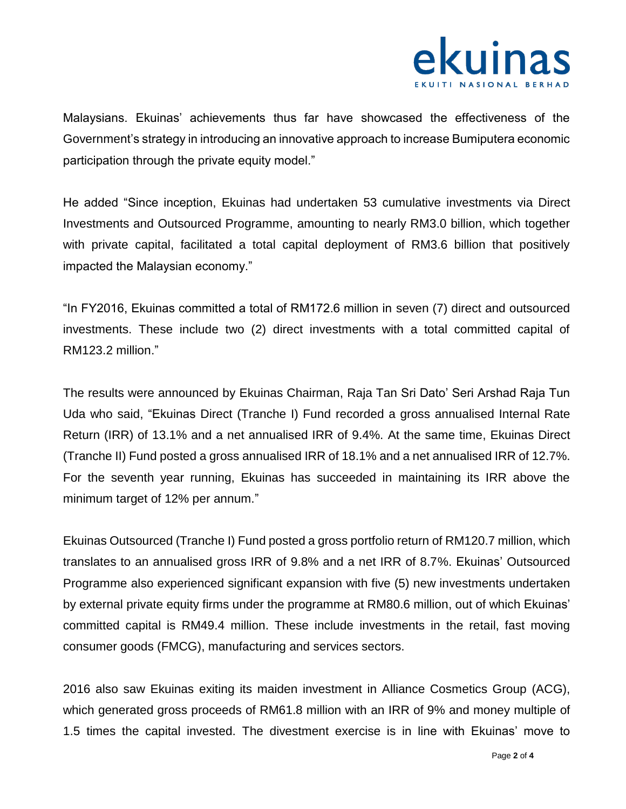

Malaysians. Ekuinas' achievements thus far have showcased the effectiveness of the Government's strategy in introducing an innovative approach to increase Bumiputera economic participation through the private equity model."

He added "Since inception, Ekuinas had undertaken 53 cumulative investments via Direct Investments and Outsourced Programme, amounting to nearly RM3.0 billion, which together with private capital, facilitated a total capital deployment of RM3.6 billion that positively impacted the Malaysian economy."

"In FY2016, Ekuinas committed a total of RM172.6 million in seven (7) direct and outsourced investments. These include two (2) direct investments with a total committed capital of RM123.2 million."

The results were announced by Ekuinas Chairman, Raja Tan Sri Dato' Seri Arshad Raja Tun Uda who said, "Ekuinas Direct (Tranche I) Fund recorded a gross annualised Internal Rate Return (IRR) of 13.1% and a net annualised IRR of 9.4%. At the same time, Ekuinas Direct (Tranche II) Fund posted a gross annualised IRR of 18.1% and a net annualised IRR of 12.7%. For the seventh year running, Ekuinas has succeeded in maintaining its IRR above the minimum target of 12% per annum."

Ekuinas Outsourced (Tranche I) Fund posted a gross portfolio return of RM120.7 million, which translates to an annualised gross IRR of 9.8% and a net IRR of 8.7%. Ekuinas' Outsourced Programme also experienced significant expansion with five (5) new investments undertaken by external private equity firms under the programme at RM80.6 million, out of which Ekuinas' committed capital is RM49.4 million. These include investments in the retail, fast moving consumer goods (FMCG), manufacturing and services sectors.

2016 also saw Ekuinas exiting its maiden investment in Alliance Cosmetics Group (ACG), which generated gross proceeds of RM61.8 million with an IRR of 9% and money multiple of 1.5 times the capital invested. The divestment exercise is in line with Ekuinas' move to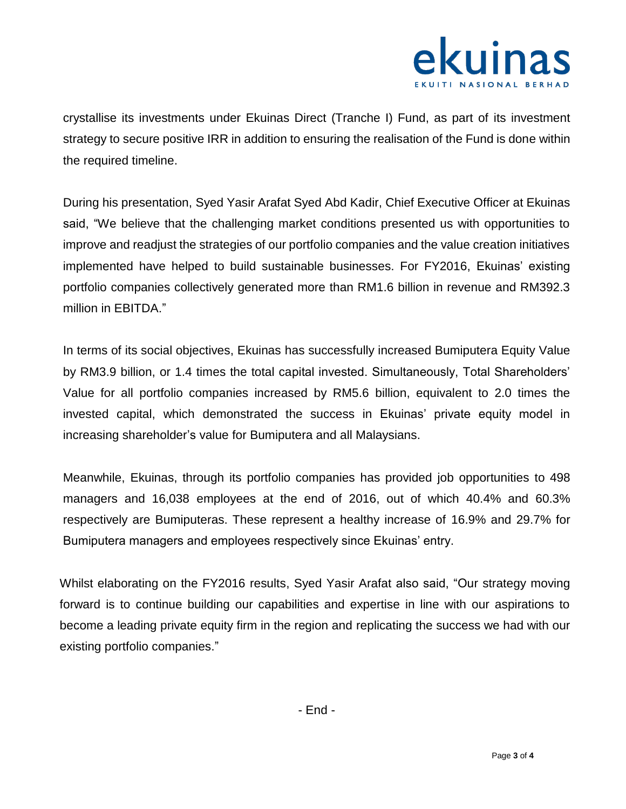

crystallise its investments under Ekuinas Direct (Tranche I) Fund, as part of its investment strategy to secure positive IRR in addition to ensuring the realisation of the Fund is done within the required timeline.

During his presentation, Syed Yasir Arafat Syed Abd Kadir, Chief Executive Officer at Ekuinas said, "We believe that the challenging market conditions presented us with opportunities to improve and readjust the strategies of our portfolio companies and the value creation initiatives implemented have helped to build sustainable businesses. For FY2016, Ekuinas' existing portfolio companies collectively generated more than RM1.6 billion in revenue and RM392.3 million in EBITDA."

In terms of its social objectives, Ekuinas has successfully increased Bumiputera Equity Value by RM3.9 billion, or 1.4 times the total capital invested. Simultaneously, Total Shareholders' Value for all portfolio companies increased by RM5.6 billion, equivalent to 2.0 times the invested capital, which demonstrated the success in Ekuinas' private equity model in increasing shareholder's value for Bumiputera and all Malaysians.

Meanwhile, Ekuinas, through its portfolio companies has provided job opportunities to 498 managers and 16,038 employees at the end of 2016, out of which 40.4% and 60.3% respectively are Bumiputeras. These represent a healthy increase of 16.9% and 29.7% for Bumiputera managers and employees respectively since Ekuinas' entry.

Whilst elaborating on the FY2016 results, Syed Yasir Arafat also said, "Our strategy moving forward is to continue building our capabilities and expertise in line with our aspirations to become a leading private equity firm in the region and replicating the success we had with our existing portfolio companies."